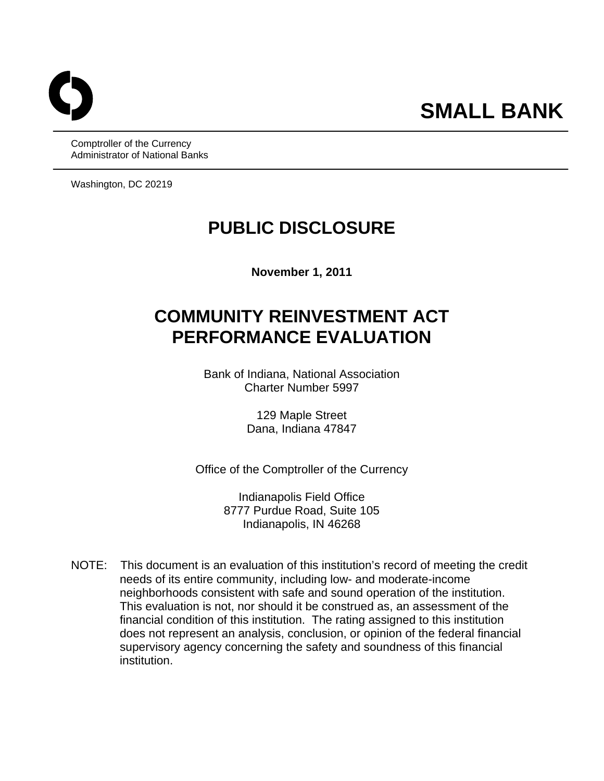Comptroller of the Currency Administrator of National Banks

Washington, DC 20219

# **PUBLIC DISCLOSURE**

**November 1, 2011** 

# **COMMUNITY REINVESTMENT ACT PERFORMANCE EVALUATION**

Bank of Indiana, National Association Charter Number 5997

> 129 Maple Street Dana, Indiana 47847

Office of the Comptroller of the Currency

Indianapolis Field Office 8777 Purdue Road, Suite 105 Indianapolis, IN 46268

NOTE: This document is an evaluation of this institution's record of meeting the credit needs of its entire community, including low- and moderate-income neighborhoods consistent with safe and sound operation of the institution. This evaluation is not, nor should it be construed as, an assessment of the financial condition of this institution. The rating assigned to this institution does not represent an analysis, conclusion, or opinion of the federal financial supervisory agency concerning the safety and soundness of this financial institution.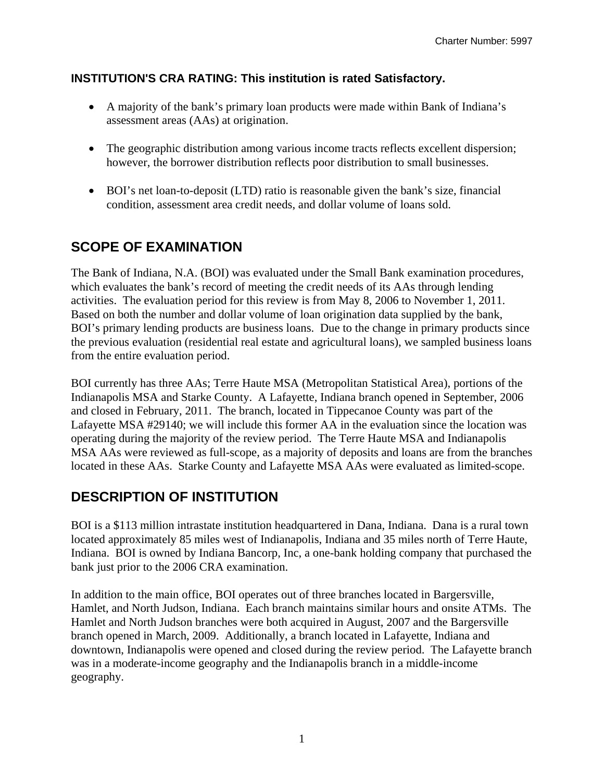### **INSTITUTION'S CRA RATING: This institution is rated Satisfactory.**

- A majority of the bank's primary loan products were made within Bank of Indiana's assessment areas (AAs) at origination.
- The geographic distribution among various income tracts reflects excellent dispersion; however, the borrower distribution reflects poor distribution to small businesses.
- BOI's net loan-to-deposit (LTD) ratio is reasonable given the bank's size, financial condition, assessment area credit needs, and dollar volume of loans sold.

# **SCOPE OF EXAMINATION**

The Bank of Indiana, N.A. (BOI) was evaluated under the Small Bank examination procedures, which evaluates the bank's record of meeting the credit needs of its AAs through lending activities. The evaluation period for this review is from May 8, 2006 to November 1, 2011. Based on both the number and dollar volume of loan origination data supplied by the bank, BOI's primary lending products are business loans. Due to the change in primary products since the previous evaluation (residential real estate and agricultural loans), we sampled business loans from the entire evaluation period.

BOI currently has three AAs; Terre Haute MSA (Metropolitan Statistical Area), portions of the Indianapolis MSA and Starke County. A Lafayette, Indiana branch opened in September, 2006 and closed in February, 2011. The branch, located in Tippecanoe County was part of the Lafayette MSA #29140; we will include this former AA in the evaluation since the location was operating during the majority of the review period. The Terre Haute MSA and Indianapolis MSA AAs were reviewed as full-scope, as a majority of deposits and loans are from the branches located in these AAs. Starke County and Lafayette MSA AAs were evaluated as limited-scope.

## **DESCRIPTION OF INSTITUTION**

BOI is a \$113 million intrastate institution headquartered in Dana, Indiana. Dana is a rural town located approximately 85 miles west of Indianapolis, Indiana and 35 miles north of Terre Haute, Indiana. BOI is owned by Indiana Bancorp, Inc, a one-bank holding company that purchased the bank just prior to the 2006 CRA examination.

In addition to the main office, BOI operates out of three branches located in Bargersville, Hamlet, and North Judson, Indiana. Each branch maintains similar hours and onsite ATMs. The Hamlet and North Judson branches were both acquired in August, 2007 and the Bargersville branch opened in March, 2009. Additionally, a branch located in Lafayette, Indiana and downtown, Indianapolis were opened and closed during the review period. The Lafayette branch was in a moderate-income geography and the Indianapolis branch in a middle-income geography.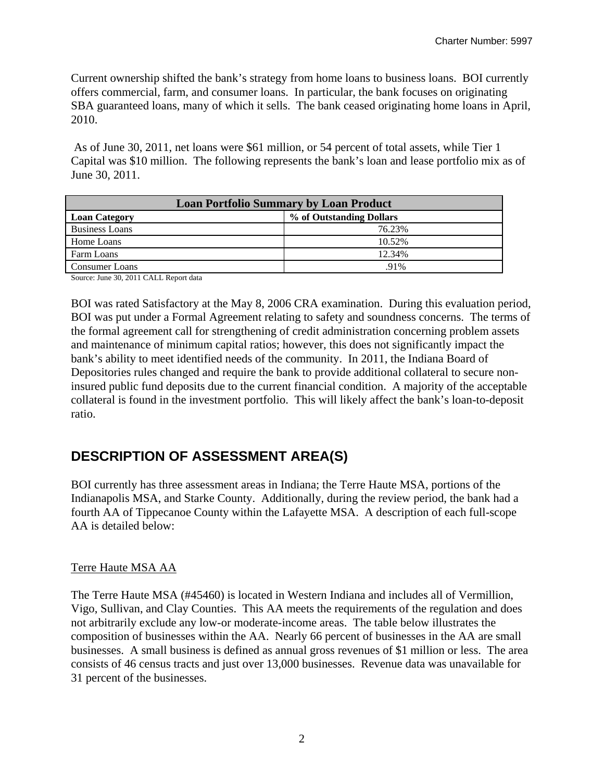Current ownership shifted the bank's strategy from home loans to business loans. BOI currently offers commercial, farm, and consumer loans. In particular, the bank focuses on originating SBA guaranteed loans, many of which it sells. The bank ceased originating home loans in April, 2010.

 As of June 30, 2011, net loans were \$61 million, or 54 percent of total assets, while Tier 1 Capital was \$10 million. The following represents the bank's loan and lease portfolio mix as of June 30, 2011.

| <b>Loan Portfolio Summary by Loan Product</b> |                          |  |  |  |  |  |  |  |
|-----------------------------------------------|--------------------------|--|--|--|--|--|--|--|
| <b>Loan Category</b>                          | % of Outstanding Dollars |  |  |  |  |  |  |  |
| <b>Business Loans</b>                         | 76.23%                   |  |  |  |  |  |  |  |
| Home Loans                                    | 10.52%                   |  |  |  |  |  |  |  |
| Farm Loans                                    | 12.34%                   |  |  |  |  |  |  |  |
| <b>Consumer Loans</b>                         | $.91\%$                  |  |  |  |  |  |  |  |

Source: June 30, 2011 CALL Report data

BOI was rated Satisfactory at the May 8, 2006 CRA examination. During this evaluation period, BOI was put under a Formal Agreement relating to safety and soundness concerns. The terms of the formal agreement call for strengthening of credit administration concerning problem assets and maintenance of minimum capital ratios; however, this does not significantly impact the bank's ability to meet identified needs of the community. In 2011, the Indiana Board of Depositories rules changed and require the bank to provide additional collateral to secure noninsured public fund deposits due to the current financial condition. A majority of the acceptable collateral is found in the investment portfolio. This will likely affect the bank's loan-to-deposit ratio.

# **DESCRIPTION OF ASSESSMENT AREA(S)**

BOI currently has three assessment areas in Indiana; the Terre Haute MSA, portions of the Indianapolis MSA, and Starke County. Additionally, during the review period, the bank had a fourth AA of Tippecanoe County within the Lafayette MSA. A description of each full-scope AA is detailed below:

### Terre Haute MSA AA

The Terre Haute MSA (#45460) is located in Western Indiana and includes all of Vermillion, Vigo, Sullivan, and Clay Counties. This AA meets the requirements of the regulation and does not arbitrarily exclude any low-or moderate-income areas. The table below illustrates the composition of businesses within the AA. Nearly 66 percent of businesses in the AA are small businesses. A small business is defined as annual gross revenues of \$1 million or less. The area consists of 46 census tracts and just over 13,000 businesses. Revenue data was unavailable for 31 percent of the businesses.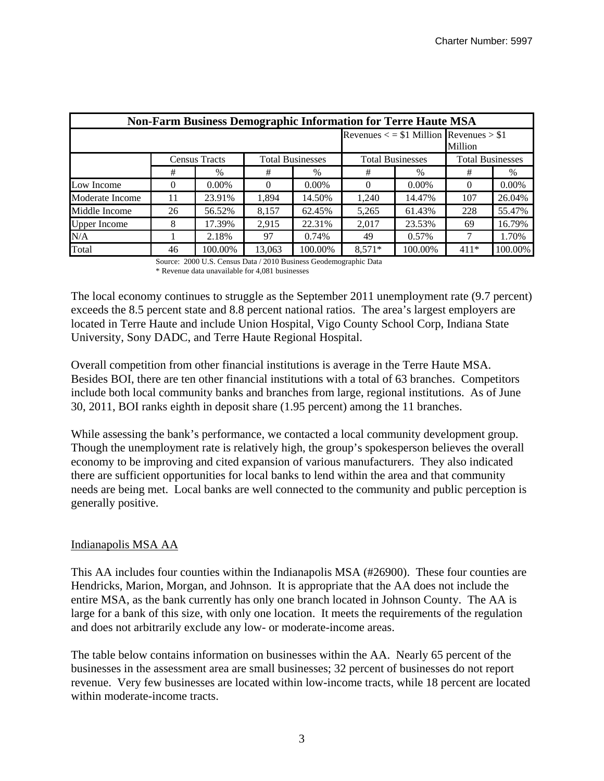| <b>Non-Farm Business Demographic Information for Terre Haute MSA</b> |          |                      |        |                         |                                                            |          |                         |          |  |  |  |  |
|----------------------------------------------------------------------|----------|----------------------|--------|-------------------------|------------------------------------------------------------|----------|-------------------------|----------|--|--|--|--|
|                                                                      |          |                      |        |                         | Revenues $\langle$ = \$1 Million Revenues > \$1<br>Million |          |                         |          |  |  |  |  |
|                                                                      |          | <b>Census Tracts</b> |        | <b>Total Businesses</b> | <b>Total Businesses</b>                                    |          | <b>Total Businesses</b> |          |  |  |  |  |
|                                                                      | #        | $\%$                 | #      | $\%$                    | #                                                          | $\%$     | #                       | $\%$     |  |  |  |  |
| Low Income                                                           | $\Omega$ | $0.00\%$             | 0      | $0.00\%$                | $\Omega$                                                   | $0.00\%$ | $\Omega$                | $0.00\%$ |  |  |  |  |
| Moderate Income                                                      | 11       | 23.91%               | 1,894  | 14.50%                  | 1,240                                                      | 14.47%   | 107                     | 26.04%   |  |  |  |  |
| Middle Income                                                        | 26       | 56.52%               | 8,157  | 62.45%                  | 5,265                                                      | 61.43%   | 228                     | 55.47%   |  |  |  |  |
| <b>Upper Income</b>                                                  | 8        | 17.39%               | 2,915  | 22.31%                  | 2,017                                                      | 23.53%   | 69                      | 16.79%   |  |  |  |  |
| N/A                                                                  |          | 2.18%                | 97     | 0.74%                   | 49                                                         | 0.57%    | 7                       | 1.70%    |  |  |  |  |
| Total                                                                | 46       | 100.00%              | 13,063 | 100.00%                 | $8,571*$                                                   | 100.00%  | $411*$                  | 100.00%  |  |  |  |  |

Source: 2000 U.S. Census Data / 2010 Business Geodemographic Data \* Revenue data unavailable for 4,081 businesses

The local economy continues to struggle as the September 2011 unemployment rate (9.7 percent) exceeds the 8.5 percent state and 8.8 percent national ratios. The area's largest employers are located in Terre Haute and include Union Hospital, Vigo County School Corp, Indiana State University, Sony DADC, and Terre Haute Regional Hospital.

Overall competition from other financial institutions is average in the Terre Haute MSA. Besides BOI, there are ten other financial institutions with a total of 63 branches. Competitors include both local community banks and branches from large, regional institutions. As of June 30, 2011, BOI ranks eighth in deposit share (1.95 percent) among the 11 branches.

While assessing the bank's performance, we contacted a local community development group. Though the unemployment rate is relatively high, the group's spokesperson believes the overall economy to be improving and cited expansion of various manufacturers. They also indicated there are sufficient opportunities for local banks to lend within the area and that community needs are being met. Local banks are well connected to the community and public perception is generally positive.

#### Indianapolis MSA AA

This AA includes four counties within the Indianapolis MSA (#26900). These four counties are Hendricks, Marion, Morgan, and Johnson. It is appropriate that the AA does not include the entire MSA, as the bank currently has only one branch located in Johnson County. The AA is large for a bank of this size, with only one location. It meets the requirements of the regulation and does not arbitrarily exclude any low- or moderate-income areas.

The table below contains information on businesses within the AA. Nearly 65 percent of the businesses in the assessment area are small businesses; 32 percent of businesses do not report revenue. Very few businesses are located within low-income tracts, while 18 percent are located within moderate-income tracts.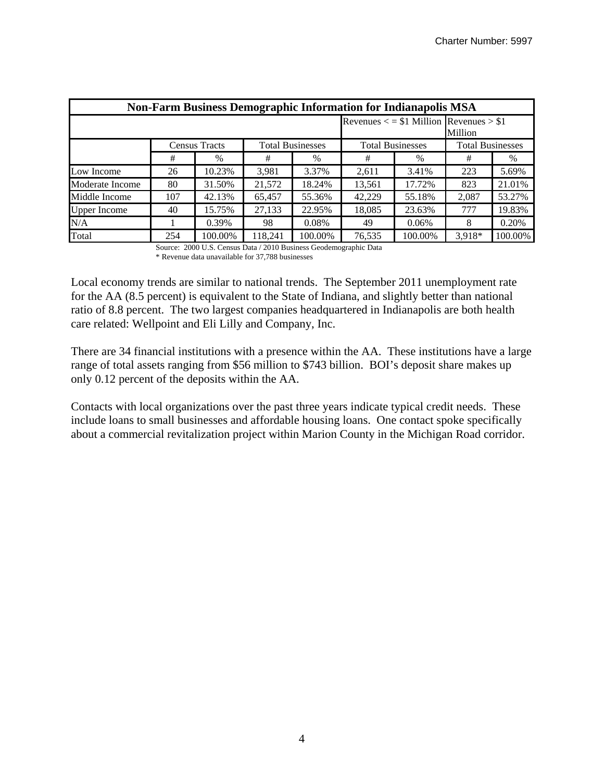| <b>Non-Farm Business Demographic Information for Indianapolis MSA</b> |                                                 |         |                                                            |         |                         |         |                         |         |  |  |  |
|-----------------------------------------------------------------------|-------------------------------------------------|---------|------------------------------------------------------------|---------|-------------------------|---------|-------------------------|---------|--|--|--|
|                                                                       |                                                 |         | Revenues $\langle$ = \$1 Million Revenues > \$1<br>Million |         |                         |         |                         |         |  |  |  |
|                                                                       | <b>Total Businesses</b><br><b>Census Tracts</b> |         |                                                            |         | <b>Total Businesses</b> |         | <b>Total Businesses</b> |         |  |  |  |
|                                                                       | #                                               | $\%$    | #                                                          | $\%$    | #                       | $\%$    | #                       | $\%$    |  |  |  |
| Low Income                                                            | 26                                              | 10.23%  | 3,981                                                      | 3.37%   | 2,611                   | 3.41%   | 223                     | 5.69%   |  |  |  |
| Moderate Income                                                       | 80                                              | 31.50%  | 21,572                                                     | 18.24%  | 13,561                  | 17.72%  | 823                     | 21.01%  |  |  |  |
| Middle Income                                                         | 107                                             | 42.13%  | 65,457                                                     | 55.36%  | 42,229                  | 55.18%  | 2,087                   | 53.27%  |  |  |  |
| <b>Upper Income</b>                                                   | 40                                              | 15.75%  | 27,133                                                     | 22.95%  | 18,085                  | 23.63%  | 777                     | 19.83%  |  |  |  |
| N/A                                                                   |                                                 | 0.39%   | 98                                                         | 0.08%   | 49                      | 0.06%   | 8                       | 0.20%   |  |  |  |
| Total                                                                 | 254                                             | 100.00% | 118.241                                                    | 100.00% | 76,535                  | 100.00% | $3.918*$                | 100.00% |  |  |  |

Source: 2000 U.S. Census Data / 2010 Business Geodemographic Data \* Revenue data unavailable for 37,788 businesses

Local economy trends are similar to national trends. The September 2011 unemployment rate for the AA (8.5 percent) is equivalent to the State of Indiana, and slightly better than national ratio of 8.8 percent. The two largest companies headquartered in Indianapolis are both health care related: Wellpoint and Eli Lilly and Company, Inc.

There are 34 financial institutions with a presence within the AA. These institutions have a large range of total assets ranging from \$56 million to \$743 billion. BOI's deposit share makes up only 0.12 percent of the deposits within the AA.

Contacts with local organizations over the past three years indicate typical credit needs. These include loans to small businesses and affordable housing loans. One contact spoke specifically about a commercial revitalization project within Marion County in the Michigan Road corridor.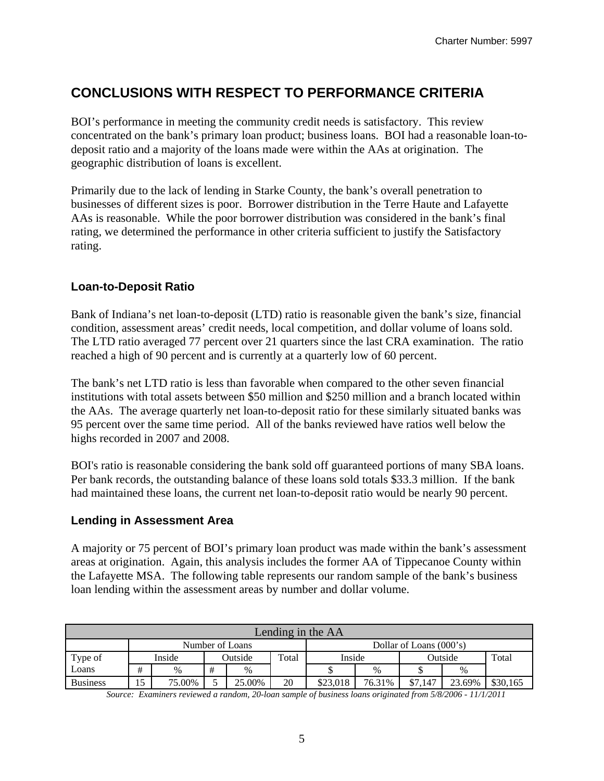# **CONCLUSIONS WITH RESPECT TO PERFORMANCE CRITERIA**

BOI's performance in meeting the community credit needs is satisfactory. This review concentrated on the bank's primary loan product; business loans. BOI had a reasonable loan-todeposit ratio and a majority of the loans made were within the AAs at origination. The geographic distribution of loans is excellent.

Primarily due to the lack of lending in Starke County, the bank's overall penetration to businesses of different sizes is poor. Borrower distribution in the Terre Haute and Lafayette AAs is reasonable. While the poor borrower distribution was considered in the bank's final rating, we determined the performance in other criteria sufficient to justify the Satisfactory rating.

### **Loan-to-Deposit Ratio**

Bank of Indiana's net loan-to-deposit (LTD) ratio is reasonable given the bank's size, financial condition, assessment areas' credit needs, local competition, and dollar volume of loans sold. The LTD ratio averaged 77 percent over 21 quarters since the last CRA examination. The ratio reached a high of 90 percent and is currently at a quarterly low of 60 percent.

The bank's net LTD ratio is less than favorable when compared to the other seven financial institutions with total assets between \$50 million and \$250 million and a branch located within the AAs. The average quarterly net loan-to-deposit ratio for these similarly situated banks was 95 percent over the same time period. All of the banks reviewed have ratios well below the highs recorded in 2007 and 2008.

BOI's ratio is reasonable considering the bank sold off guaranteed portions of many SBA loans. Per bank records, the outstanding balance of these loans sold totals \$33.3 million. If the bank had maintained these loans, the current net loan-to-deposit ratio would be nearly 90 percent.

#### **Lending in Assessment Area**

A majority or 75 percent of BOI's primary loan product was made within the bank's assessment areas at origination. Again, this analysis includes the former AA of Tippecanoe County within the Lafayette MSA. The following table represents our random sample of the bank's business loan lending within the assessment areas by number and dollar volume.

|                 | Lending in the AA                            |        |  |         |       |          |        |         |        |          |  |  |  |
|-----------------|----------------------------------------------|--------|--|---------|-------|----------|--------|---------|--------|----------|--|--|--|
|                 | Dollar of Loans $(000's)$<br>Number of Loans |        |  |         |       |          |        |         |        |          |  |  |  |
| Type of         |                                              | Inside |  | Outside | Total | Inside   |        | Outside |        | Total    |  |  |  |
| Loans           | #                                            | %      |  | $\%$    |       |          | $\%$   |         | $\%$   |          |  |  |  |
| <b>Business</b> | 15                                           | 75.00% |  | 25.00%  | 20    | \$23,018 | 76.31% | \$7.147 | 23.69% | \$30,165 |  |  |  |

*Source: Examiners reviewed a random, 20-loan sample of business loans originated from 5/8/2006 - 11/1/2011*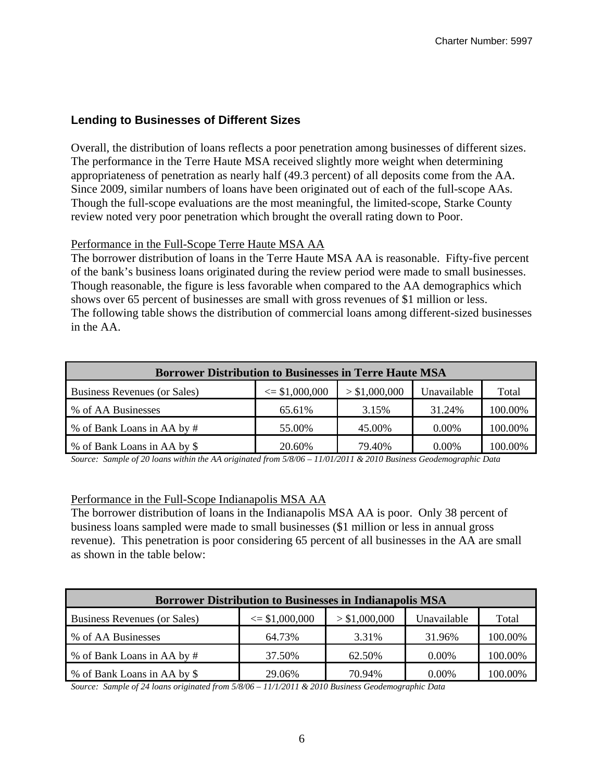#### **Lending to Businesses of Different Sizes**

Overall, the distribution of loans reflects a poor penetration among businesses of different sizes. The performance in the Terre Haute MSA received slightly more weight when determining appropriateness of penetration as nearly half (49.3 percent) of all deposits come from the AA. Since 2009, similar numbers of loans have been originated out of each of the full-scope AAs. Though the full-scope evaluations are the most meaningful, the limited-scope, Starke County review noted very poor penetration which brought the overall rating down to Poor.

#### Performance in the Full-Scope Terre Haute MSA AA

The borrower distribution of loans in the Terre Haute MSA AA is reasonable. Fifty-five percent of the bank's business loans originated during the review period were made to small businesses. Though reasonable, the figure is less favorable when compared to the AA demographics which shows over 65 percent of businesses are small with gross revenues of \$1 million or less. The following table shows the distribution of commercial loans among different-sized businesses in the AA.

| <b>Borrower Distribution to Businesses in Terre Haute MSA</b> |                    |               |             |         |  |  |  |  |  |  |  |
|---------------------------------------------------------------|--------------------|---------------|-------------|---------|--|--|--|--|--|--|--|
| Business Revenues (or Sales)                                  | $\leq$ \$1,000,000 | > \$1,000,000 | Unavailable | Total   |  |  |  |  |  |  |  |
| % of AA Businesses                                            | 65.61%             | 3.15%         | 31.24%      | 100.00% |  |  |  |  |  |  |  |
| % of Bank Loans in AA by #                                    | 55.00%             | 45.00%        | $0.00\%$    | 100.00% |  |  |  |  |  |  |  |
| % of Bank Loans in AA by \$                                   | 20.60%             | 79.40%        | 0.00%       | 100.00% |  |  |  |  |  |  |  |

*Source: Sample of 20 loans within the AA originated from 5/8/06 – 11/01/2011 & 2010 Business Geodemographic Data* 

#### Performance in the Full-Scope Indianapolis MSA AA

The borrower distribution of loans in the Indianapolis MSA AA is poor. Only 38 percent of business loans sampled were made to small businesses (\$1 million or less in annual gross revenue). This penetration is poor considering 65 percent of all businesses in the AA are small as shown in the table below:

| <b>Borrower Distribution to Businesses in Indianapolis MSA</b> |                    |               |             |         |  |  |  |  |  |  |  |
|----------------------------------------------------------------|--------------------|---------------|-------------|---------|--|--|--|--|--|--|--|
| Business Revenues (or Sales)                                   | $\leq$ \$1,000,000 | > \$1,000,000 | Unavailable | Total   |  |  |  |  |  |  |  |
| % of AA Businesses                                             | 64.73%             | 3.31%         | 31.96%      | 100.00% |  |  |  |  |  |  |  |
| % of Bank Loans in AA by #                                     | 37.50%             | 62.50%        | $0.00\%$    | 100.00% |  |  |  |  |  |  |  |
| % of Bank Loans in AA by \$                                    | 29.06%             | 70.94%        | $0.00\%$    | 100.00% |  |  |  |  |  |  |  |

*Source: Sample of 24 loans originated from 5/8/06 – 11/1/2011 & 2010 Business Geodemographic Data*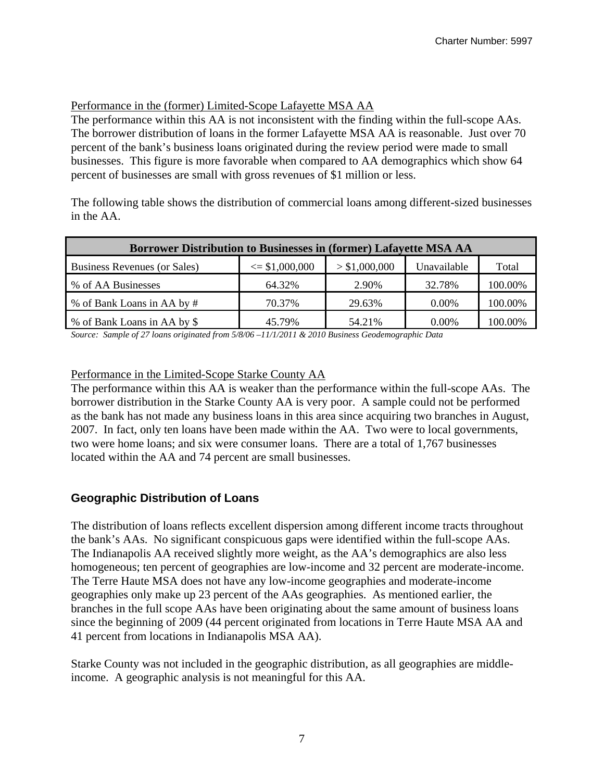#### Performance in the (former) Limited-Scope Lafayette MSA AA

The performance within this AA is not inconsistent with the finding within the full-scope AAs. The borrower distribution of loans in the former Lafayette MSA AA is reasonable. Just over 70 percent of the bank's business loans originated during the review period were made to small businesses. This figure is more favorable when compared to AA demographics which show 64 percent of businesses are small with gross revenues of \$1 million or less.

The following table shows the distribution of commercial loans among different-sized businesses in the AA.

| Borrower Distribution to Businesses in (former) Lafayette MSA AA |                    |               |             |         |  |  |  |  |  |  |  |
|------------------------------------------------------------------|--------------------|---------------|-------------|---------|--|--|--|--|--|--|--|
| Business Revenues (or Sales)                                     | $\leq$ \$1,000,000 | > \$1,000,000 | Unavailable | Total   |  |  |  |  |  |  |  |
| % of AA Businesses                                               | 64.32%             | 2.90%         | 32.78%      | 100.00% |  |  |  |  |  |  |  |
| % of Bank Loans in AA by #                                       | 70.37%             | 29.63%        | $0.00\%$    | 100.00% |  |  |  |  |  |  |  |
| % of Bank Loans in AA by \$                                      | 45.79%             | 54.21%        | $0.00\%$    | 100.00% |  |  |  |  |  |  |  |

*Source: Sample of 27 loans originated from 5/8/06 –11/1/2011 & 2010 Business Geodemographic Data* 

#### Performance in the Limited-Scope Starke County AA

The performance within this AA is weaker than the performance within the full-scope AAs. The borrower distribution in the Starke County AA is very poor. A sample could not be performed as the bank has not made any business loans in this area since acquiring two branches in August, 2007. In fact, only ten loans have been made within the AA. Two were to local governments, two were home loans; and six were consumer loans. There are a total of 1,767 businesses located within the AA and 74 percent are small businesses.

#### **Geographic Distribution of Loans**

The distribution of loans reflects excellent dispersion among different income tracts throughout the bank's AAs. No significant conspicuous gaps were identified within the full-scope AAs. The Indianapolis AA received slightly more weight, as the AA's demographics are also less homogeneous; ten percent of geographies are low-income and 32 percent are moderate-income. The Terre Haute MSA does not have any low-income geographies and moderate-income geographies only make up 23 percent of the AAs geographies. As mentioned earlier, the branches in the full scope AAs have been originating about the same amount of business loans since the beginning of 2009 (44 percent originated from locations in Terre Haute MSA AA and 41 percent from locations in Indianapolis MSA AA).

Starke County was not included in the geographic distribution, as all geographies are middleincome. A geographic analysis is not meaningful for this AA.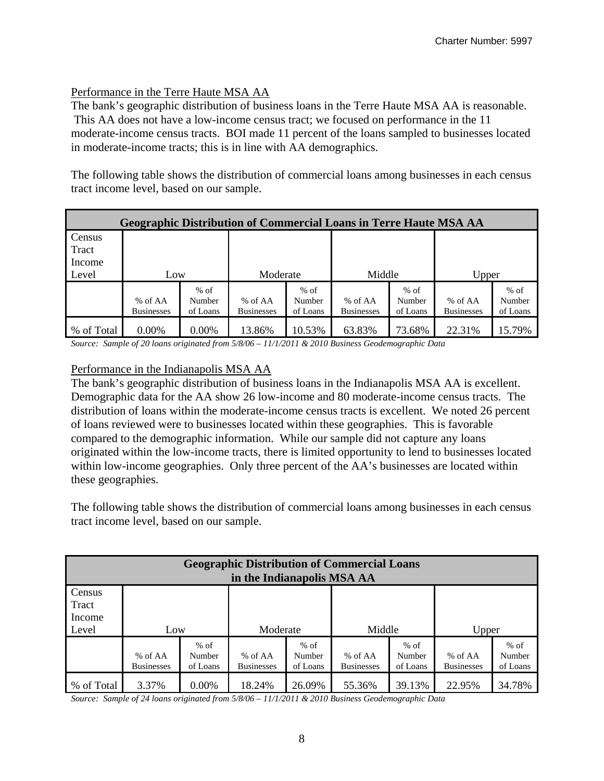#### Performance in the Terre Haute MSA AA

The bank's geographic distribution of business loans in the Terre Haute MSA AA is reasonable. This AA does not have a low-income census tract; we focused on performance in the 11 moderate-income census tracts. BOI made 11 percent of the loans sampled to businesses located in moderate-income tracts; this is in line with AA demographics.

The following table shows the distribution of commercial loans among businesses in each census tract income level, based on our sample.

| <b>Geographic Distribution of Commercial Loans in Terre Haute MSA AA</b> |                   |          |                   |          |                   |          |                   |          |  |  |  |  |  |
|--------------------------------------------------------------------------|-------------------|----------|-------------------|----------|-------------------|----------|-------------------|----------|--|--|--|--|--|
| Census                                                                   |                   |          |                   |          |                   |          |                   |          |  |  |  |  |  |
| Tract                                                                    |                   |          |                   |          |                   |          |                   |          |  |  |  |  |  |
| Income                                                                   |                   |          |                   |          |                   |          |                   |          |  |  |  |  |  |
| Level                                                                    | Low               |          | Moderate          |          | Middle            |          | Upper             |          |  |  |  |  |  |
|                                                                          |                   | $%$ of   |                   | $%$ of   |                   | $%$ of   |                   | $%$ of   |  |  |  |  |  |
|                                                                          | % of AA           | Number   | % of AA           | Number   | % of AA           | Number   | % of AA           | Number   |  |  |  |  |  |
|                                                                          | <b>Businesses</b> | of Loans | <b>Businesses</b> | of Loans | <b>Businesses</b> | of Loans | <b>Businesses</b> | of Loans |  |  |  |  |  |
| % of Total                                                               | $0.00\%$          | 0.00%    | 13.86%            | 10.53%   | 63.83%            | 73.68%   | 22.31%            | 15.79%   |  |  |  |  |  |

*Source: Sample of 20 loans originated from 5/8/06 – 11/1/2011 & 2010 Business Geodemographic Data* 

### Performance in the Indianapolis MSA AA

The bank's geographic distribution of business loans in the Indianapolis MSA AA is excellent. Demographic data for the AA show 26 low-income and 80 moderate-income census tracts. The distribution of loans within the moderate-income census tracts is excellent. We noted 26 percent of loans reviewed were to businesses located within these geographies. This is favorable compared to the demographic information. While our sample did not capture any loans originated within the low-income tracts, there is limited opportunity to lend to businesses located within low-income geographies. Only three percent of the AA's businesses are located within these geographies.

The following table shows the distribution of commercial loans among businesses in each census tract income level, based on our sample.

| <b>Geographic Distribution of Commercial Loans</b><br>in the Indianapolis MSA AA |                              |                              |                              |                              |                              |                              |                              |                              |  |  |  |  |  |
|----------------------------------------------------------------------------------|------------------------------|------------------------------|------------------------------|------------------------------|------------------------------|------------------------------|------------------------------|------------------------------|--|--|--|--|--|
| Census<br>Tract<br>Income<br>Middle<br>Level<br>Moderate<br>Upper<br>Low         |                              |                              |                              |                              |                              |                              |                              |                              |  |  |  |  |  |
|                                                                                  | % of AA<br><b>Businesses</b> | $%$ of<br>Number<br>of Loans | % of AA<br><b>Businesses</b> | $%$ of<br>Number<br>of Loans | % of AA<br><b>Businesses</b> | $%$ of<br>Number<br>of Loans | % of AA<br><b>Businesses</b> | $%$ of<br>Number<br>of Loans |  |  |  |  |  |
| % of Total                                                                       | 3.37%                        | $0.00\%$                     | 18.24%                       | 26.09%                       | 55.36%                       | 39.13%                       | 22.95%                       | 34.78%                       |  |  |  |  |  |

*Source: Sample of 24 loans originated from 5/8/06 – 11/1/2011 & 2010 Business Geodemographic Data*